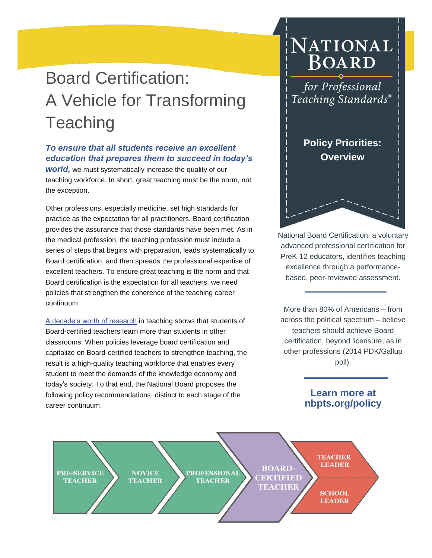# Board Certification: A Vehicle for Transforming **Teaching**

#### *To ensure that all students receive an excellent education that prepares them to succeed in today's*

*world,* we must systematically increase the quality of our teaching workforce. In short, great teaching must be the norm, not the exception.

Other professions, especially medicine, set high standards for practice as the expectation for all practitioners. Board certification provides the assurance that those standards have been met. As in the medical profession, the teaching profession must include a series of steps that begins with preparation, leads systematically to Board certification, and then spreads the professional expertise of excellent teachers. To ensure great teaching is the norm and that Board certification is the expectation for all teachers, we need policies that strengthen the coherence of the teaching career continuum.

[A decade's worth of research](http://www.nbpts.org/sites/default/files/Policy/impact_brief_final.pdf) in teaching shows that students of Board-certified teachers learn more than students in other classrooms. When policies leverage board certification and capitalize on Board-certified teachers to strengthen teaching, the result is a high-quality teaching workforce that enables every student to meet the demands of the knowledge economy and today's society. To that end, the National Board proposes the following policy recommendations, distinct to each stage of the career continuum.

## NATIONAL **BOARD**

for Professional Teaching Standards®

> **Policy Priorities: Overview**

National Board Certification, a voluntary advanced professional certification for PreK-12 educators, identifies teaching excellence through a performancebased, peer-reviewed assessment.

More than 80% of Americans – from across the political spectrum – believe teachers should achieve Board certification, beyond licensure, as in other professions (2014 PDK/Gallup poll).

#### **Learn more at nbpts.org/policy**